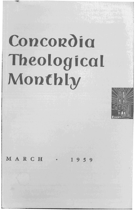# **Concordia Theological Montbly**



MARCH • 1959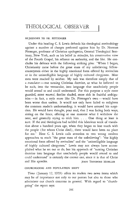# THEOLOGICAL OBSERVER

#### REJOINDER TO DR. PITTENGER

Under this heading C. S. Lewis defends his theological methodology against a number of charges preferred against him by Dr. Norman Pittenger, professor of Christian apologetics, General Theological Seminary, New York, such as his belief in miracles, his conservative view of the Fourth Gospel, his reliance on authority, and the like. He concludes his defence with the following striking plea: "When I began, Christianity came before the great mass of my unbelieving fellowcountrymen either in the highly emotional form offered by revivalists or in the unintelligible language of highly cultured clergymen. Most men were reached by neither. My task was therefore simply that of a *translator* — one turning Christian doctrine, or what he believed to be such, into the vernacular, into language that unscholarly people would attend to and could understand. For this purpose a style more guarded, more *nuance,* finelier shaded, more rich in fruitful ambiguities-in fact, a style more like Dr. Pittenger's own-would have been worse than useless. It would not only have failed to enlighten the common reader's understanding; it would have aroused his suspicion. He would have thought, poor soul, that I was facing both ways, sitting on the fence, offering at one moment what I withdrew the next, and generally trying to trick him. . . . One thing at least is sure. If the real theologians had tackled this laborious work of translation about a hundred years ago, when they began to lose touch with the people (for whom Christ died), there would have been no place for me." Here C. S. Lewis calls attention to two wrong modern approaches to reach "the great mass of the unbelieving": "the highly emotional form offered by revivalists" and the "unintelligible language of highly cultured clergymen." Lewis may not always have accomplished what he set out to do, but his approach of "turning Christian doctrine into language that unscholarly people would attend to and could understand" is certainly the correct one, since it is that of Christ and His apostles. The JOHN THEODORE MUELLER

### CHURCHGOING AND POPULATION SHIFT

*Time* (January 12, 1959) offers its readers two news items which may be of importance not only to our pastors but also to those who administer our church concerns in general. With regard to "churchgoing" the report says: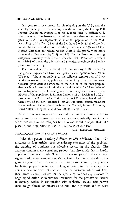Last year set a new record for churchgoing in the U. S., and the churchgoingest part of the country was the Midwest, the Gallup Poll reports. During an average 1958 week, more than 50 million U. S. adults went to church - nearly a million more than at the previous peak in 1955. This represents 54% of the population in the Midwest, 52% of the East, 51% of the South, and only 35% of the Far West. Women attended more faithfully than men (55% to  $40\%$ ). Roman Catholics, for whom weekly Mass is obligatory, were more regular than Protestants by 74% to 44%. But the Protestant showing compares favorably with Britain (nearly 80% Protestant), where only 14% of the adults said they had attended church on the Sunday preceding the survey.

The tremendous population shift in our country is illustrated by the great changes which have taken place in metropolitan New York. We read: "The latest analysis of the religious composition of New York's metropolitan area, published this week by the city's Protestant Council, gives dramatic evidence of the decline of the once-preponderant white Protestants in Manhattan and vicinity. In 22 counties of the metropolitan area (reaching into New Jersey and Connecticut), 29.5% of the population is Roman Catholic,  $18\%$  Jewish and  $15.9\%$ Protestant; 2.2% is listed as "other" and 34.4% is unaffiliated. More than 55% of the city's estimated 960,000 Protestant church members are nonwhite. Among the nonwhites, the Council, in an odd stance, listed 440,000 Negroes and almost 90,000 Puerto Ricans.

What the report suggests to those who administer church and mission affairs is that evangelistic endeavors must constantly orient themselves not only to the religious but also the social changes that take place in our krge cities as also in rural areas of our land.

JOHN THEODORE MUELLER

## THEOLOGICAL EDUCATION IN AMERICA

Under this general heading *Religion in Life* (Winter, 1958-59) discusses in four articles, each considering one facet of the problem, the training of ministers for effective service in the church. The analyses contain many useful suggestions, but also much that is hardly apposite to our own needs. The first article suggests for the students: rigorous admission standards as also a Senior Honors Scholarship program to permit them to leave their filling stations and grocery stores for better preparation for the lifelong ministry; for the graduate students: a new statement of standards for the doctorate which will keep them from a cheap degree; for the graduates: various experiments in ongoing education as in summer institutes; for the professors: faculty fellowships which, in conjunction with sabbatical leaves, will permit them to go abroad or otherwise to refill the dry wells and to taste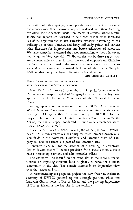the waters of other springs; also opportunities to meet in regional conferences that their horizons may be widened and their teaching revivified; for the schools: visits from teams of advisers whose careful studies and reports are designed to help each school make increased use of its opportunities as also extensive materials pertaining to the building up of their libraries, and lastly, self-study guides and various other literature for improvement and better utilization of resources. We have somewhat shortened the recommendations without, however, sacrificing anything essential. While, on the whole, these suggestions are commendable we miss in them the central emphasis on Christian theology which will make the students conscientious pastors, consecrated missionaries and spiritual builders of the Lord's Temple. Without that every theological training is bound to fail.

JOHN THEODORE MUELLER

### BRIEF ITEMS FROM THE NEWS BUREAU OF THE NATIONAL LUTHERAN COUNCIL

*New York.* - A proposal to establish a large Lutheran center in Dar es Salaam, seaport capital of Tanganyika in East Africa, has been approved by the Executive Committee of the National Lutheran Council.

Acting upon a recommendation from the NLC's Department of World Missions Cooperation, the executive committee at its recent meeting in Chicago authorized a grant of up to \$175,000 for the project. The funds will be allocated from reserves of Lutheran World Action, the annual appeal conducted to underwrite emergency activities at home and abroad.

Since the early years of World War II, the council, through DWMC, has carried administrative responsibility for three former German mission fields in the Northern, Usambara, and Uzaramo areas of Tanganyika. Dar es Salaam is a part of the Uzaramo area.

Tentative plans call for the erection of a building in downtown Dar es Salaam that will include provision for a social center, a guest house, missionary quarters, and administrative offices.

The center will be located on the same site as the large Lutheran Church, an imposing structure built originally to serve the German community in the city. The church commands an impressive view over the harbor and city.

In recommending the proposed project, the Rev. Oscar R. Rolander, secretary of DWMC, pointed up the strategic position which the Lutheran Church holds in Dar es Salaam and the growing importance of Dar es Salaam as the key city in the territory.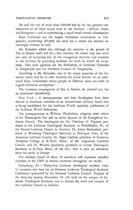#### THEOLOGICAL OBSERVER 209

He said the city of more than 100,000 has by far the greatest concentration of all three major races in the territory-African, Asian, and European - and is experiencing a rapid trend toward urbanization.

Since Lutherans are the largest Protestant communion in Tanganyika, numbering 265,000, the need for a center has become increasingly evident, he said.

Mr. Rolander added that although the ministry to the people of Dar es Salaam itself will be a first concern, the center may also serve not only all Lutherans but all the evangelical churches and missions in the territory by providing facilities for work in which all co-operate. Two such agencies are the Federation of Lutheran Churches in Tanganyika and the Christian Council of Tanganyika.

According to Mr. Rolander, one of the major purposes of the Lutheran center will be to offer facilities for social activity on an interracial basis, "somewhere where people of different races can meet in a good Christian atmosphere."

The Lutheran congregation in Dar es Salaam, he pointed out, has an interracial membership.

*New Yark.-A* newspaperman and four theologians have been elected as American members of an international advisory board that is being established for the *Lutheran World*, quarterly publication of the Lutheran World Federation.

The newspaperman is Willmar Thorkelson, religious news editor of the Minneapolis *Star* and an active layman of the Evangelical Lutheran Church. The theologians are Dr. Theodore G. Tappert, professor at the Lutheran Theological Seminary at Philadelphia, Pa., of the United Lutheran Church in America; Dr. Julius Bodensieck, professor at Wartburg Theological Seminary at Dubuque, Iowa, of the American Lutheran Church; Dr. Edgar Carlson, president of Gustavus Adolphus College at St. Peter, Minn., of the Augustana Lutheran Church; and Dr. Warren Quanbeck, professor at Luther Theological Seminary at St. Paul, Minn., of the ELC, who is now on sabbatical leave for study in Europe.

The advisory board of about 20 members will represent member churches of the LWF in various countries throughout the world.

Gettysburg, Pa.- Thirty-five Lutheran theological students from 11 countries met here for an Overseas Lutheran Theological Students' Conference sponsored by the National Lutheran CounciL Purpose of the three-day session, November 28-30, held on the campus of Lutheran Theological Seminary, was to discuss the work and mission of the Lutheran Church in America.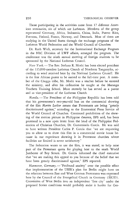Those participating in the activities came from 17 different American seminaries, six of which are Lutheran. Members of the group represented Germany, Africa, Indonesia, China, India, Puerto Rico, Formosa, Finland, France, Norway, and Denmark. Most of them are studying in the United States through the exchange programs of the Lutheran World Federation and the World Council of Churches.

Dr. Ruth Wick, secretary for the International Exchange Program in the NLC Division of LWF affairs, arranged the program. The conference was the ninth annual meeting of foreign students to be sponsored by the National Lutheran Council.

*New York.* - The Rev. Stefano R. Moshi has been elected president of the 115,OOO-member Lutheran Church of Northern Tanganyika, according to word received here by the National Lutheran Council. He is the first African pastor to be named to the full-time post. A member of the Chagga tribe, Mr. Moshi was a teacher before he entered the ministry, and after his ordination he taught at the Marangu Teachers Training School. More recently he has served as a pastor and as vice-president of the lutheran Church.

*Manila.* - The President of the Philippine Republic has been told that his government's two-year-old ban on the commercial showing of the film *Martin Lutber* means that Protestants are being "greatly discriminated against," according to the Ecumenical Press Service of the World Council of Churches. Continued prohibition of the showing of the motion picture in Philippine theaters, EPS said, has been protested in a new open letter from the head of the Philippine Federation of Christian Churches, Dr. Gumersindo Garcia. He was said to have written President Carlos P. Garcia that "we are requesting you to allow us to show this film in a commercial movie house because in our experience showing it in Protestant churches where facilities are limited is never satisfactory."

The federation wants to use the film, it was stated, to help raise part of the Protestant quota for playing host to the tenth World Jamboree of Boy Scouts. Dr. Garcia informed the chief executive that "we are making this appeal to you because of the belief that we have been greatly discriminated against," EPS reported.

Hannover, Germany. - "Profound anxiety" over the possible effect that implementation of the USSR's plan for Berlin might have on the relations between East and West German Protestants was expressed here by the Council of the Evangelical Church in Germany (EK!D). Conversion of West Berlin into an independent "free city" under the proposed Soviet conditions would probably make it harder for Ger